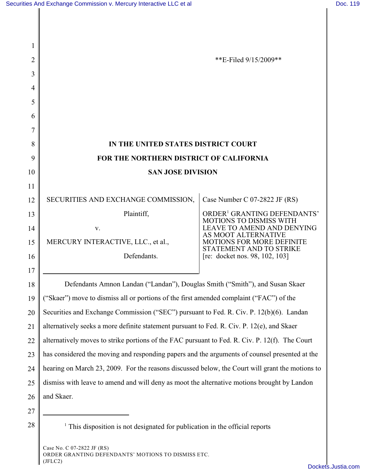| 1  |                                                                                                 |                                                                           |  |
|----|-------------------------------------------------------------------------------------------------|---------------------------------------------------------------------------|--|
| 2  |                                                                                                 | **E-Filed 9/15/2009**                                                     |  |
| 3  |                                                                                                 |                                                                           |  |
| 4  |                                                                                                 |                                                                           |  |
| 5  |                                                                                                 |                                                                           |  |
| 6  |                                                                                                 |                                                                           |  |
| 7  |                                                                                                 |                                                                           |  |
| 8  | IN THE UNITED STATES DISTRICT COURT                                                             |                                                                           |  |
| 9  | FOR THE NORTHERN DISTRICT OF CALIFORNIA                                                         |                                                                           |  |
| 10 | <b>SAN JOSE DIVISION</b>                                                                        |                                                                           |  |
| 11 |                                                                                                 |                                                                           |  |
| 12 | SECURITIES AND EXCHANGE COMMISSION,                                                             | Case Number C 07-2822 JF (RS)                                             |  |
| 13 | Plaintiff,                                                                                      | ORDER <sup>1</sup> GRANTING DEFENDANTS'<br><b>MOTIONS TO DISMISS WITH</b> |  |
| 14 | V.                                                                                              | LEAVE TO AMEND AND DENYING<br>AS MOOT ALTERNATIVE                         |  |
| 15 | MERCURY INTERACTIVE, LLC., et al.,                                                              | <b>MOTIONS FOR MORE DEFINITE</b><br>STATEMENT AND TO STRIKE               |  |
| 16 | Defendants.                                                                                     | [re: docket nos. 98, 102, 103]                                            |  |
| 17 |                                                                                                 |                                                                           |  |
| 18 | Defendants Amnon Landan ("Landan"), Douglas Smith ("Smith"), and Susan Skaer                    |                                                                           |  |
| 19 | ("Skaer") move to dismiss all or portions of the first amended complaint ("FAC") of the         |                                                                           |  |
| 20 | Securities and Exchange Commission ("SEC") pursuant to Fed. R. Civ. P. 12(b)(6). Landan         |                                                                           |  |
| 21 | alternatively seeks a more definite statement pursuant to Fed. R. Civ. P. 12(e), and Skaer      |                                                                           |  |
| 22 | alternatively moves to strike portions of the FAC pursuant to Fed. R. Civ. P. 12(f). The Court  |                                                                           |  |
| 23 | has considered the moving and responding papers and the arguments of counsel presented at the   |                                                                           |  |
| 24 | hearing on March 23, 2009. For the reasons discussed below, the Court will grant the motions to |                                                                           |  |
| 25 | dismiss with leave to amend and will deny as moot the alternative motions brought by Landon     |                                                                           |  |
| 26 | and Skaer.                                                                                      |                                                                           |  |
| 27 |                                                                                                 |                                                                           |  |
| 28 | $\frac{1}{1}$ This disposition is not designated for publication in the official reports        |                                                                           |  |
|    |                                                                                                 |                                                                           |  |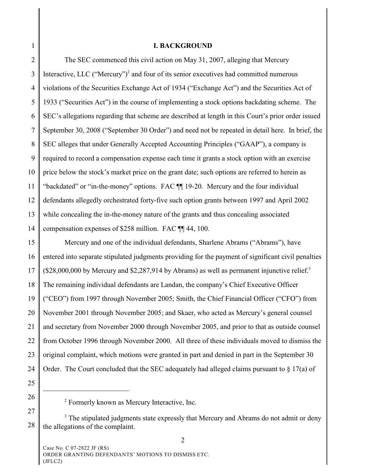## **I. BACKGROUND**

2 3 4 5 6 7 8 9 10 11 12 13 14 The SEC commenced this civil action on May 31, 2007, alleging that Mercury Interactive, LLC ("Mercury")<sup>2</sup> and four of its senior executives had committed numerous violations of the Securities Exchange Act of 1934 ("Exchange Act") and the Securities Act of 1933 ("Securities Act") in the course of implementing a stock options backdating scheme. The SEC's allegations regarding that scheme are described at length in this Court's prior order issued September 30, 2008 ("September 30 Order") and need not be repeated in detail here. In brief, the SEC alleges that under Generally Accepted Accounting Principles ("GAAP"), a company is required to record a compensation expense each time it grants a stock option with an exercise price below the stock's market price on the grant date; such options are referred to herein as "backdated" or "in-the-money" options. FAC ¶¶ 19-20. Mercury and the four individual defendants allegedly orchestrated forty-five such option grants between 1997 and April 2002 while concealing the in-the-money nature of the grants and thus concealing associated compensation expenses of \$258 million. FAC ¶¶ 44, 100.

15 16 17 18 19 20 21 22 23 24 Mercury and one of the individual defendants, Sharlene Abrams ("Abrams"), have entered into separate stipulated judgments providing for the payment of significant civil penalties  $($28,000,000$  by Mercury and  $$2,287,914$  by Abrams) as well as permanent injunctive relief.<sup>3</sup> The remaining individual defendants are Landan, the company's Chief Executive Officer ("CEO") from 1997 through November 2005; Smith, the Chief Financial Officer ("CFO") from November 2001 through November 2005; and Skaer, who acted as Mercury's general counsel and secretary from November 2000 through November 2005, and prior to that as outside counsel from October 1996 through November 2000. All three of these individuals moved to dismiss the original complaint, which motions were granted in part and denied in part in the September 30 Order. The Court concluded that the SEC adequately had alleged claims pursuant to  $\S 17(a)$  of

- 25
- 26 27

<sup>&</sup>lt;sup>2</sup> Formerly known as Mercury Interactive, Inc.

<sup>28</sup> <sup>3</sup> The stipulated judgments state expressly that Mercury and Abrams do not admit or deny the allegations of the complaint.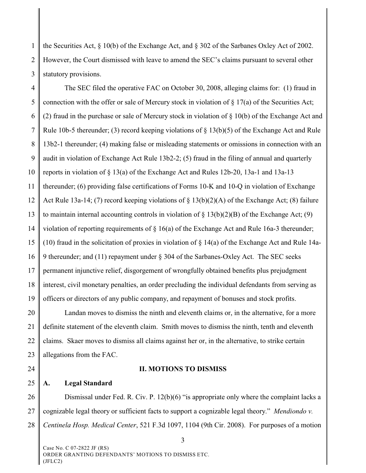1 2 3 the Securities Act, § 10(b) of the Exchange Act, and § 302 of the Sarbanes Oxley Act of 2002. However, the Court dismissed with leave to amend the SEC's claims pursuant to several other statutory provisions.

4 5 6 7 8 9 10 11 12 13 14 15 16 17 18 19 The SEC filed the operative FAC on October 30, 2008, alleging claims for: (1) fraud in connection with the offer or sale of Mercury stock in violation of  $\S 17(a)$  of the Securities Act; (2) fraud in the purchase or sale of Mercury stock in violation of § 10(b) of the Exchange Act and Rule 10b-5 thereunder; (3) record keeping violations of  $\S$  13(b)(5) of the Exchange Act and Rule 13b2-1 thereunder; (4) making false or misleading statements or omissions in connection with an audit in violation of Exchange Act Rule 13b2-2; (5) fraud in the filing of annual and quarterly reports in violation of § 13(a) of the Exchange Act and Rules 12b-20, 13a-1 and 13a-13 thereunder; (6) providing false certifications of Forms 10-K and 10-Q in violation of Exchange Act Rule 13a-14; (7) record keeping violations of § 13(b)(2)(A) of the Exchange Act; (8) failure to maintain internal accounting controls in violation of  $\S 13(b)(2)(B)$  of the Exchange Act; (9) violation of reporting requirements of  $\S$  16(a) of the Exchange Act and Rule 16a-3 thereunder; (10) fraud in the solicitation of proxies in violation of  $\S 14(a)$  of the Exchange Act and Rule 14a-9 thereunder; and (11) repayment under § 304 of the Sarbanes-Oxley Act. The SEC seeks permanent injunctive relief, disgorgement of wrongfully obtained benefits plus prejudgment interest, civil monetary penalties, an order precluding the individual defendants from serving as officers or directors of any public company, and repayment of bonuses and stock profits.

20 21 22 23 Landan moves to dismiss the ninth and eleventh claims or, in the alternative, for a more definite statement of the eleventh claim. Smith moves to dismiss the ninth, tenth and eleventh claims. Skaer moves to dismiss all claims against her or, in the alternative, to strike certain allegations from the FAC.

24

## **II. MOTIONS TO DISMISS**

25 **A. Legal Standard**

26 27 28 Dismissal under Fed. R. Civ. P. 12(b)(6) "is appropriate only where the complaint lacks a cognizable legal theory or sufficient facts to support a cognizable legal theory." *Mendiondo v. Centinela Hosp. Medical Center*, 521 F.3d 1097, 1104 (9th Cir. 2008). For purposes of a motion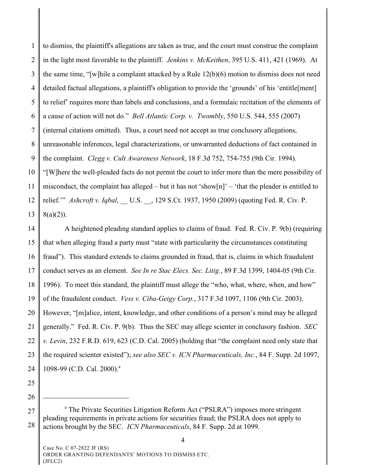1 2 3 4 5 6 7 8 9 10 11 12 13 to dismiss, the plaintiff's allegations are taken as true, and the court must construe the complaint in the light most favorable to the plaintiff. *Jenkins v. McKeithen*, 395 U.S. 411, 421 (1969). At the same time, "[w]hile a complaint attacked by a Rule 12(b)(6) motion to dismiss does not need detailed factual allegations, a plaintiff's obligation to provide the 'grounds' of his 'entitle[ment] to relief' requires more than labels and conclusions, and a formulaic recitation of the elements of a cause of action will not do." *Bell Atlantic Corp. v. Twombly*, 550 U.S. 544, 555 (2007) (internal citations omitted). Thus, a court need not accept as true conclusory allegations, unreasonable inferences, legal characterizations, or unwarranted deductions of fact contained in the complaint. *Clegg v. Cult Awareness Network*, 18 F.3d 752, 754-755 (9th Cir. 1994). "[W]here the well-pleaded facts do not permit the court to infer more than the mere possibility of misconduct, the complaint has alleged – but it has not 'show[n]' – 'that the pleader is entitled to relief." *Ashcroft v. Iqbal*, U.S. , 129 S.Ct. 1937, 1950 (2009) (quoting Fed. R. Civ. P.  $8(a)(2)$ ).

14 15 16 17 18 19 20 21 22 23 24 A heightened pleading standard applies to claims of fraud. Fed. R. Civ. P. 9(b) (requiring that when alleging fraud a party must "state with particularity the circumstances constituting fraud"). This standard extends to claims grounded in fraud, that is, claims in which fraudulent conduct serves as an element. *See In re Stac Elecs. Sec. Litig.*, 89 F.3d 1399, 1404-05 (9th Cir. 1996). To meet this standard, the plaintiff must allege the "who, what, where, when, and how" of the fraudulent conduct. *Vess v. Ciba-Geigy Corp.*, 317 F.3d 1097, 1106 (9th Cir. 2003). However, "[m]alice, intent, knowledge, and other conditions of a person's mind may be alleged generally." Fed. R. Civ. P. 9(b). Thus the SEC may allege scienter in conclusory fashion. *SEC v. Levin*, 232 F.R.D. 619, 623 (C.D. Cal. 2005) (holding that "the complaint need only state that the required scienter existed"); *see also SEC v. ICN Pharmaceuticals, Inc.*, 84 F. Supp. 2d 1097, 1098-99 (C.D. Cal. 2000).4

- 25
- 26

<sup>27</sup> 28 <sup>4</sup> The Private Securities Litigation Reform Act ("PSLRA") imposes more stringent pleading requirements in private actions for securities fraud; the PSLRA does not apply to actions brought by the SEC. *ICN Pharmaceuticals*, 84 F. Supp. 2d at 1099.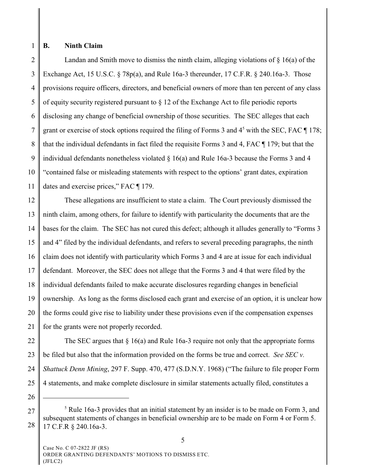## **B. Ninth Claim**

2 3 4 5 6 7 8 9 10 11 Landan and Smith move to dismiss the ninth claim, alleging violations of  $\S$  16(a) of the Exchange Act, 15 U.S.C. § 78p(a), and Rule 16a-3 thereunder, 17 C.F.R. § 240.16a-3. Those provisions require officers, directors, and beneficial owners of more than ten percent of any class of equity security registered pursuant to  $\S$  12 of the Exchange Act to file periodic reports disclosing any change of beneficial ownership of those securities. The SEC alleges that each grant or exercise of stock options required the filing of Forms 3 and  $4<sup>5</sup>$  with the SEC, FAC  $\P$  178; that the individual defendants in fact filed the requisite Forms 3 and 4, FAC ¶ 179; but that the individual defendants nonetheless violated § 16(a) and Rule 16a-3 because the Forms 3 and 4 "contained false or misleading statements with respect to the options' grant dates, expiration dates and exercise prices," FAC ¶ 179.

12 13 14 15 16 17 18 19 20 21 These allegations are insufficient to state a claim. The Court previously dismissed the ninth claim, among others, for failure to identify with particularity the documents that are the bases for the claim. The SEC has not cured this defect; although it alludes generally to "Forms 3 and 4" filed by the individual defendants, and refers to several preceding paragraphs, the ninth claim does not identify with particularity which Forms 3 and 4 are at issue for each individual defendant. Moreover, the SEC does not allege that the Forms 3 and 4 that were filed by the individual defendants failed to make accurate disclosures regarding changes in beneficial ownership. As long as the forms disclosed each grant and exercise of an option, it is unclear how the forms could give rise to liability under these provisions even if the compensation expenses for the grants were not properly recorded.

22 23 24 25 The SEC argues that  $\S 16(a)$  and Rule 16a-3 require not only that the appropriate forms be filed but also that the information provided on the forms be true and correct. *See SEC v. Shattuck Denn Mining*, 297 F. Supp. 470, 477 (S.D.N.Y. 1968) ("The failure to file proper Form 4 statements, and make complete disclosure in similar statements actually filed, constitutes a

26

<sup>27</sup> 28  $5$  Rule 16a-3 provides that an initial statement by an insider is to be made on Form 3, and subsequent statements of changes in beneficial ownership are to be made on Form 4 or Form 5. 17 C.F.R § 240.16a-3.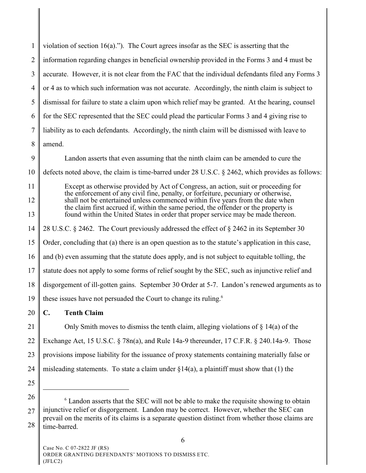| $\mathbf{1}$   | violation of section $16(a)$ ."). The Court agrees insofar as the SEC is asserting that the                                                                                                                                                               |  |  |
|----------------|-----------------------------------------------------------------------------------------------------------------------------------------------------------------------------------------------------------------------------------------------------------|--|--|
| $\overline{2}$ | information regarding changes in beneficial ownership provided in the Forms 3 and 4 must be                                                                                                                                                               |  |  |
| 3              | accurate. However, it is not clear from the FAC that the individual defendants filed any Forms 3                                                                                                                                                          |  |  |
| $\overline{4}$ | or 4 as to which such information was not accurate. Accordingly, the ninth claim is subject to                                                                                                                                                            |  |  |
| 5              | dismissal for failure to state a claim upon which relief may be granted. At the hearing, counsel                                                                                                                                                          |  |  |
| 6              | for the SEC represented that the SEC could plead the particular Forms 3 and 4 giving rise to                                                                                                                                                              |  |  |
| 7              | liability as to each defendants. Accordingly, the ninth claim will be dismissed with leave to                                                                                                                                                             |  |  |
| 8              | amend.                                                                                                                                                                                                                                                    |  |  |
| 9              | Landon asserts that even assuming that the ninth claim can be amended to cure the                                                                                                                                                                         |  |  |
| 10             | defects noted above, the claim is time-barred under 28 U.S.C. § 2462, which provides as follows:                                                                                                                                                          |  |  |
| 11             | Except as otherwise provided by Act of Congress, an action, suit or proceeding for<br>the enforcement of any civil fine, penalty, or forfeiture, pecuniary or otherwise,                                                                                  |  |  |
| 12             | shall not be entertained unless commenced within five years from the date when<br>the claim first accrued if, within the same period, the offender or the property is<br>found within the United States in order that proper service may be made thereon. |  |  |
| 13             |                                                                                                                                                                                                                                                           |  |  |
| 14             | 28 U.S.C. § 2462. The Court previously addressed the effect of § 2462 in its September 30                                                                                                                                                                 |  |  |
| 15             | Order, concluding that (a) there is an open question as to the statute's application in this case,                                                                                                                                                        |  |  |
| 16             | and (b) even assuming that the statute does apply, and is not subject to equitable tolling, the                                                                                                                                                           |  |  |
| 17             | statute does not apply to some forms of relief sought by the SEC, such as injunctive relief and                                                                                                                                                           |  |  |
| 18             | disgorgement of ill-gotten gains. September 30 Order at 5-7. Landon's renewed arguments as to                                                                                                                                                             |  |  |
| 19             | these issues have not persuaded the Court to change its ruling. <sup>6</sup>                                                                                                                                                                              |  |  |
| 20             | $\mathbf{C}$ .<br><b>Tenth Claim</b>                                                                                                                                                                                                                      |  |  |
| 21             | Only Smith moves to dismiss the tenth claim, alleging violations of $\S$ 14(a) of the                                                                                                                                                                     |  |  |
| 22             | Exchange Act, 15 U.S.C. § 78n(a), and Rule 14a-9 thereunder, 17 C.F.R. § 240.14a-9. Those                                                                                                                                                                 |  |  |
| 23             | provisions impose liability for the issuance of proxy statements containing materially false or                                                                                                                                                           |  |  |
| 24             | misleading statements. To state a claim under $\S14(a)$ , a plaintiff must show that (1) the                                                                                                                                                              |  |  |

<sup>26</sup> 27 28 Landon asserts that the SEC will not be able to make the requisite showing to obtain <sup>6</sup> injunctive relief or disgorgement. Landon may be correct. However, whether the SEC can prevail on the merits of its claims is a separate question distinct from whether those claims are time-barred.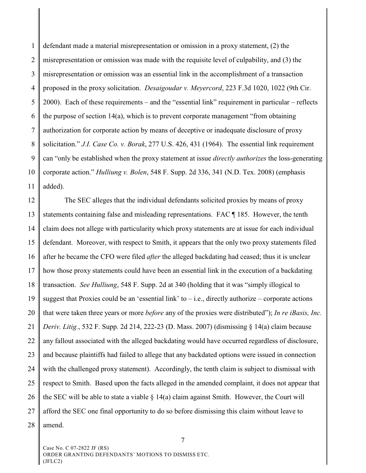1 2 3 4 5 6 7 8 9 10 11 defendant made a material misrepresentation or omission in a proxy statement, (2) the misrepresentation or omission was made with the requisite level of culpability, and (3) the misrepresentation or omission was an essential link in the accomplishment of a transaction proposed in the proxy solicitation. *Desaigoudar v. Meyercord*, 223 F.3d 1020, 1022 (9th Cir. 2000). Each of these requirements – and the "essential link" requirement in particular – reflects the purpose of section 14(a), which is to prevent corporate management "from obtaining authorization for corporate action by means of deceptive or inadequate disclosure of proxy solicitation." *J.I. Case Co. v. Borak*, 277 U.S. 426, 431 (1964).The essential link requirement can "only be established when the proxy statement at issue *directly authorizes* the loss-generating corporate action." *Hulliung v. Bolen*, 548 F. Supp. 2d 336, 341 (N.D. Tex. 2008) (emphasis added).

12 13 14 15 16 17 18 19 20 21 22 23 24 25 26 27 28 The SEC alleges that the individual defendants solicited proxies by means of proxy statements containing false and misleading representations. FAC ¶ 185. However, the tenth claim does not allege with particularity which proxy statements are at issue for each individual defendant. Moreover, with respect to Smith, it appears that the only two proxy statements filed after he became the CFO were filed *after* the alleged backdating had ceased; thus it is unclear how those proxy statements could have been an essential link in the execution of a backdating transaction. *See Hulliung*, 548 F. Supp. 2d at 340 (holding that it was "simply illogical to suggest that Proxies could be an 'essential link' to  $-$  i.e., directly authorize – corporate actions that were taken three years or more *before* any of the proxies were distributed"); *In re iBasis, Inc. Deriv. Litig.*, 532 F. Supp. 2d 214, 222-23 (D. Mass. 2007) (dismissing § 14(a) claim because any fallout associated with the alleged backdating would have occurred regardless of disclosure, and because plaintiffs had failed to allege that any backdated options were issued in connection with the challenged proxy statement). Accordingly, the tenth claim is subject to dismissal with respect to Smith. Based upon the facts alleged in the amended complaint, it does not appear that the SEC will be able to state a viable  $\S 14(a)$  claim against Smith. However, the Court will afford the SEC one final opportunity to do so before dismissing this claim without leave to amend.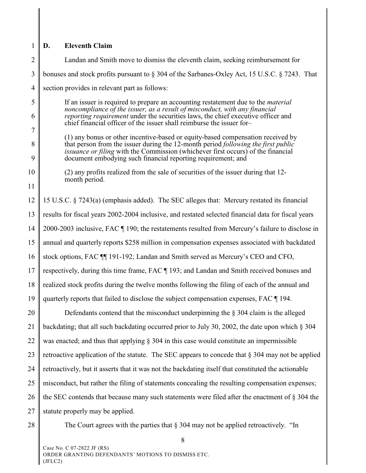## 1 **D. Eleventh Claim**

2 3 4 5 6 7 8 9 10 11 12 13 14 15 16 17 18 19 20 21 22 23 24 25 26 27 28 Landan and Smith move to dismiss the eleventh claim, seeking reimbursement for bonuses and stock profits pursuant to § 304 of the Sarbanes-Oxley Act, 15 U.S.C. § 7243. That section provides in relevant part as follows: If an issuer is required to prepare an accounting restatement due to the *material noncompliance of the issuer, as a result of misconduct, with any financial reporting requirement* under the securities laws, the chief executive officer and chief financial officer of the issuer shall reimburse the issuer for– (1) any bonus or other incentive-based or equity-based compensation received by that person from the issuer during the 12-month period *following the first public issuance or filing* with the Commission (whichever first occurs) of the financial document embodying such financial reporting requirement; and (2) any profits realized from the sale of securities of the issuer during that 12 month period. 15 U.S.C. § 7243(a) (emphasis added). The SEC alleges that: Mercury restated its financial results for fiscal years 2002-2004 inclusive, and restated selected financial data for fiscal years 2000-2003 inclusive, FAC ¶ 190; the restatements resulted from Mercury's failure to disclose in annual and quarterly reports \$258 million in compensation expenses associated with backdated stock options, FAC ¶¶ 191-192; Landan and Smith served as Mercury's CEO and CFO, respectively, during this time frame, FAC ¶ 193; and Landan and Smith received bonuses and realized stock profits during the twelve months following the filing of each of the annual and quarterly reports that failed to disclose the subject compensation expenses, FAC ¶ 194. Defendants contend that the misconduct underpinning the  $\S$  304 claim is the alleged backdating; that all such backdating occurred prior to July 30, 2002, the date upon which § 304 was enacted; and thus that applying  $\S 304$  in this case would constitute an impermissible retroactive application of the statute. The SEC appears to concede that  $\S 304$  may not be applied retroactively, but it asserts that it was not the backdating itself that constituted the actionable misconduct, but rather the filing of statements concealing the resulting compensation expenses; the SEC contends that because many such statements were filed after the enactment of  $\S 304$  the statute properly may be applied. The Court agrees with the parties that § 304 may not be applied retroactively. "In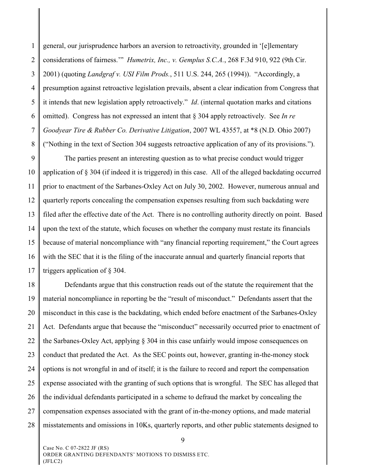1 2 3 4 5 6 7 8 general, our jurisprudence harbors an aversion to retroactivity, grounded in '[e]lementary considerations of fairness.'" *Humetrix, Inc., v. Gemplus S.C.A.*, 268 F.3d 910, 922 (9th Cir. 2001) (quoting *Landgraf v. USI Film Prods.*, 511 U.S. 244, 265 (1994)). "Accordingly, a presumption against retroactive legislation prevails, absent a clear indication from Congress that it intends that new legislation apply retroactively." *Id*. (internal quotation marks and citations omitted). Congress has not expressed an intent that § 304 apply retroactively. See *In re Goodyear Tire & Rubber Co. Derivative Litigation*, 2007 WL 43557, at \*8 (N.D. Ohio 2007) ("Nothing in the text of Section 304 suggests retroactive application of any of its provisions.").

9 10 11 12 13 14 15 16 17 The parties present an interesting question as to what precise conduct would trigger application of § 304 (if indeed it is triggered) in this case. All of the alleged backdating occurred prior to enactment of the Sarbanes-Oxley Act on July 30, 2002. However, numerous annual and quarterly reports concealing the compensation expenses resulting from such backdating were filed after the effective date of the Act. There is no controlling authority directly on point. Based upon the text of the statute, which focuses on whether the company must restate its financials because of material noncompliance with "any financial reporting requirement," the Court agrees with the SEC that it is the filing of the inaccurate annual and quarterly financial reports that triggers application of § 304.

18 19 20 21 22 23 24 25 26 27 28 Defendants argue that this construction reads out of the statute the requirement that the material noncompliance in reporting be the "result of misconduct." Defendants assert that the misconduct in this case is the backdating, which ended before enactment of the Sarbanes-Oxley Act. Defendants argue that because the "misconduct" necessarily occurred prior to enactment of the Sarbanes-Oxley Act, applying § 304 in this case unfairly would impose consequences on conduct that predated the Act. As the SEC points out, however, granting in-the-money stock options is not wrongful in and of itself; it is the failure to record and report the compensation expense associated with the granting of such options that is wrongful. The SEC has alleged that the individual defendants participated in a scheme to defraud the market by concealing the compensation expenses associated with the grant of in-the-money options, and made material misstatements and omissions in 10Ks, quarterly reports, and other public statements designed to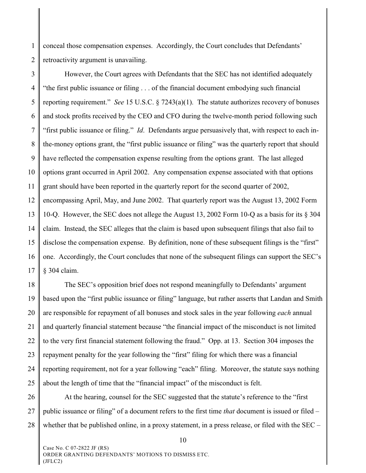1 2 conceal those compensation expenses. Accordingly, the Court concludes that Defendants' retroactivity argument is unavailing.

3 4 5 6 7 8 9 10 11 12 13 14 15 16 17 However, the Court agrees with Defendants that the SEC has not identified adequately "the first public issuance or filing . . . of the financial document embodying such financial reporting requirement." *See* 15 U.S.C. § 7243(a)(1). The statute authorizes recovery of bonuses and stock profits received by the CEO and CFO during the twelve-month period following such "first public issuance or filing." *Id*. Defendants argue persuasively that, with respect to each inthe-money options grant, the "first public issuance or filing" was the quarterly report that should have reflected the compensation expense resulting from the options grant. The last alleged options grant occurred in April 2002. Any compensation expense associated with that options grant should have been reported in the quarterly report for the second quarter of 2002, encompassing April, May, and June 2002. That quarterly report was the August 13, 2002 Form 10-Q. However, the SEC does not allege the August 13, 2002 Form 10-Q as a basis for its § 304 claim. Instead, the SEC alleges that the claim is based upon subsequent filings that also fail to disclose the compensation expense. By definition, none of these subsequent filings is the "first" one. Accordingly, the Court concludes that none of the subsequent filings can support the SEC's § 304 claim.

18 19 20 21 22 23 24 25 The SEC's opposition brief does not respond meaningfully to Defendants' argument based upon the "first public issuance or filing" language, but rather asserts that Landan and Smith are responsible for repayment of all bonuses and stock sales in the year following *each* annual and quarterly financial statement because "the financial impact of the misconduct is not limited to the very first financial statement following the fraud." Opp. at 13. Section 304 imposes the repayment penalty for the year following the "first" filing for which there was a financial reporting requirement, not for a year following "each" filing. Moreover, the statute says nothing about the length of time that the "financial impact" of the misconduct is felt.

26 27 28 At the hearing, counsel for the SEC suggested that the statute's reference to the "first public issuance or filing" of a document refers to the first time *that* document is issued or filed – whether that be published online, in a proxy statement, in a press release, or filed with the SEC –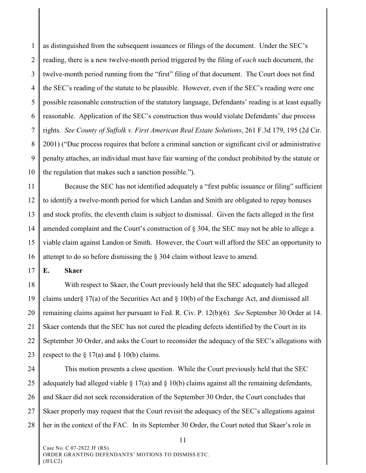1 2 3 4 5 6 7 8 9 10 as distinguished from the subsequent issuances or filings of the document. Under the SEC's reading, there is a new twelve-month period triggered by the filing of *each* such document, the twelve-month period running from the "first" filing of that document. The Court does not find the SEC's reading of the statute to be plausible. However, even if the SEC's reading were one possible reasonable construction of the statutory language, Defendants' reading is at least equally reasonable. Application of the SEC's construction thus would violate Defendants' due process rights. *See County of Suffolk v. First American Real Estate Solutions*, 261 F.3d 179, 195 (2d Cir. 2001) ("Due process requires that before a criminal sanction or significant civil or administrative penalty attaches, an individual must have fair warning of the conduct prohibited by the statute or the regulation that makes such a sanction possible.").

11 12 13 14 15 16 Because the SEC has not identified adequately a "first public issuance or filing" sufficient to identify a twelve-month period for which Landan and Smith are obligated to repay bonuses and stock profits, the eleventh claim is subject to dismissal. Given the facts alleged in the first amended complaint and the Court's construction of § 304, the SEC may not be able to allege a viable claim against Landon or Smith. However, the Court will afford the SEC an opportunity to attempt to do so before dismissing the § 304 claim without leave to amend.

17 **E. Skaer**

18 19 20 21 22 23 With respect to Skaer, the Court previously held that the SEC adequately had alleged claims under§ 17(a) of the Securities Act and § 10(b) of the Exchange Act, and dismissed all remaining claims against her pursuant to Fed. R. Civ. P. 12(b)(6). *See* September 30 Order at 14. Skaer contends that the SEC has not cured the pleading defects identified by the Court in its September 30 Order, and asks the Court to reconsider the adequacy of the SEC's allegations with respect to the  $\S 17(a)$  and  $\S 10(b)$  claims.

24 25 26 27 28 This motion presents a close question. While the Court previously held that the SEC adequately had alleged viable  $\S 17(a)$  and  $\S 10(b)$  claims against all the remaining defendants, and Skaer did not seek reconsideration of the September 30 Order, the Court concludes that Skaer properly may request that the Court revisit the adequacy of the SEC's allegations against her in the context of the FAC. In its September 30 Order, the Court noted that Skaer's role in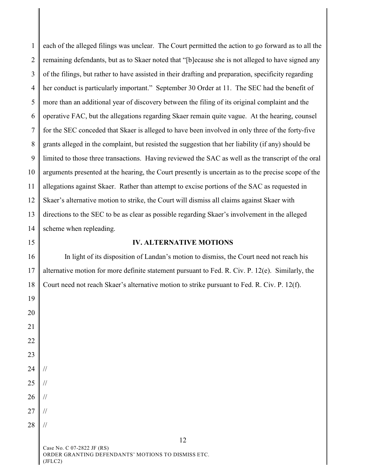1 2 3 4 5 6 7 8 9 10 11 12 13 14 15 16 each of the alleged filings was unclear. The Court permitted the action to go forward as to all the remaining defendants, but as to Skaer noted that "[b]ecause she is not alleged to have signed any of the filings, but rather to have assisted in their drafting and preparation, specificity regarding her conduct is particularly important." September 30 Order at 11. The SEC had the benefit of more than an additional year of discovery between the filing of its original complaint and the operative FAC, but the allegations regarding Skaer remain quite vague. At the hearing, counsel for the SEC conceded that Skaer is alleged to have been involved in only three of the forty-five grants alleged in the complaint, but resisted the suggestion that her liability (if any) should be limited to those three transactions. Having reviewed the SAC as well as the transcript of the oral arguments presented at the hearing, the Court presently is uncertain as to the precise scope of the allegations against Skaer. Rather than attempt to excise portions of the SAC as requested in Skaer's alternative motion to strike, the Court will dismiss all claims against Skaer with directions to the SEC to be as clear as possible regarding Skaer's involvement in the alleged scheme when repleading. **IV. ALTERNATIVE MOTIONS**

17 18 In light of its disposition of Landan's motion to dismiss, the Court need not reach his alternative motion for more definite statement pursuant to Fed. R. Civ. P. 12(e). Similarly, the Court need not reach Skaer's alternative motion to strike pursuant to Fed. R. Civ. P. 12(f).

20 21 22 23 24 25 26 27 28 // // // // //

19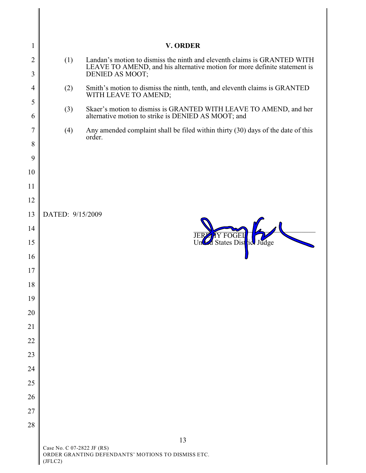| $\mathbf{1}$        |                                                                                             | <b>V. ORDER</b>                                                                                                                                                          |  |
|---------------------|---------------------------------------------------------------------------------------------|--------------------------------------------------------------------------------------------------------------------------------------------------------------------------|--|
| $\overline{2}$<br>3 | (1)                                                                                         | Landan's motion to dismiss the ninth and eleventh claims is GRANTED WITH<br>LEAVE TO AMEND, and his alternative motion for more definite statement is<br>DENIED AS MOOT; |  |
| $\overline{4}$      | (2)                                                                                         | Smith's motion to dismiss the ninth, tenth, and eleventh claims is GRANTED<br>WITH LEAVE TO AMEND;                                                                       |  |
| 5                   | (3)                                                                                         | Skaer's motion to dismiss is GRANTED WITH LEAVE TO AMEND, and her                                                                                                        |  |
| 6                   |                                                                                             | alternative motion to strike is DENIED AS MOOT; and                                                                                                                      |  |
| $\overline{7}$      | (4)                                                                                         | Any amended complaint shall be filed within thirty (30) days of the date of this<br>order.                                                                               |  |
| 8                   |                                                                                             |                                                                                                                                                                          |  |
| 9                   |                                                                                             |                                                                                                                                                                          |  |
| 10                  |                                                                                             |                                                                                                                                                                          |  |
| 11                  |                                                                                             |                                                                                                                                                                          |  |
| 12<br>13            |                                                                                             |                                                                                                                                                                          |  |
| 14                  | DATED: 9/15/2009                                                                            |                                                                                                                                                                          |  |
| 15                  |                                                                                             | Y FOGE<br><b>JER</b><br>Un States District Judge                                                                                                                         |  |
| 16                  |                                                                                             |                                                                                                                                                                          |  |
| 17                  |                                                                                             |                                                                                                                                                                          |  |
| 18                  |                                                                                             |                                                                                                                                                                          |  |
| 19                  |                                                                                             |                                                                                                                                                                          |  |
| 20                  |                                                                                             |                                                                                                                                                                          |  |
| 21                  |                                                                                             |                                                                                                                                                                          |  |
| 22                  |                                                                                             |                                                                                                                                                                          |  |
| 23                  |                                                                                             |                                                                                                                                                                          |  |
| 24                  |                                                                                             |                                                                                                                                                                          |  |
| 25                  |                                                                                             |                                                                                                                                                                          |  |
| 26                  |                                                                                             |                                                                                                                                                                          |  |
| 27                  |                                                                                             |                                                                                                                                                                          |  |
| 28                  |                                                                                             |                                                                                                                                                                          |  |
|                     |                                                                                             | 13                                                                                                                                                                       |  |
|                     | Case No. C 07-2822 JF (RS)<br>ORDER GRANTING DEFENDANTS' MOTIONS TO DISMISS ETC.<br>(JELC2) |                                                                                                                                                                          |  |